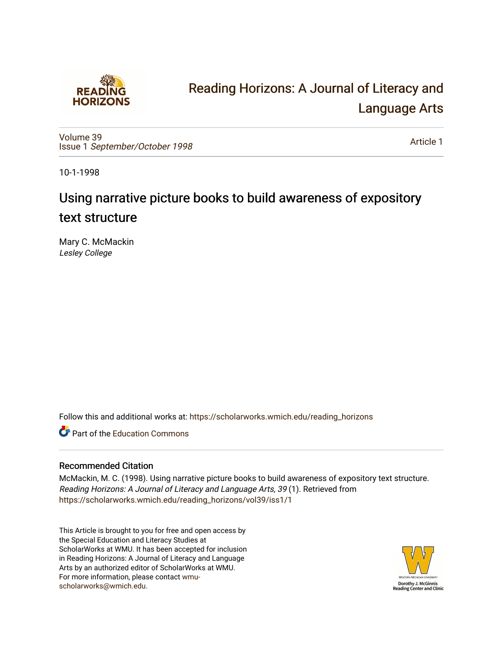

# [Reading Horizons: A Journal of Literacy and](https://scholarworks.wmich.edu/reading_horizons)  [Language Arts](https://scholarworks.wmich.edu/reading_horizons)

[Volume 39](https://scholarworks.wmich.edu/reading_horizons/vol39) Issue 1 [September/October 1998](https://scholarworks.wmich.edu/reading_horizons/vol39/iss1) 

[Article 1](https://scholarworks.wmich.edu/reading_horizons/vol39/iss1/1) 

10-1-1998

# Using narrative picture books to build awareness of expository text structure

Mary C. McMackin Lesley College

Follow this and additional works at: [https://scholarworks.wmich.edu/reading\\_horizons](https://scholarworks.wmich.edu/reading_horizons?utm_source=scholarworks.wmich.edu%2Freading_horizons%2Fvol39%2Fiss1%2F1&utm_medium=PDF&utm_campaign=PDFCoverPages)

**C** Part of the [Education Commons](http://network.bepress.com/hgg/discipline/784?utm_source=scholarworks.wmich.edu%2Freading_horizons%2Fvol39%2Fiss1%2F1&utm_medium=PDF&utm_campaign=PDFCoverPages)

## Recommended Citation

McMackin, M. C. (1998). Using narrative picture books to build awareness of expository text structure. Reading Horizons: A Journal of Literacy and Language Arts, 39 (1). Retrieved from [https://scholarworks.wmich.edu/reading\\_horizons/vol39/iss1/1](https://scholarworks.wmich.edu/reading_horizons/vol39/iss1/1?utm_source=scholarworks.wmich.edu%2Freading_horizons%2Fvol39%2Fiss1%2F1&utm_medium=PDF&utm_campaign=PDFCoverPages) 

This Article is brought to you for free and open access by the Special Education and Literacy Studies at ScholarWorks at WMU. It has been accepted for inclusion in Reading Horizons: A Journal of Literacy and Language Arts by an authorized editor of ScholarWorks at WMU. For more information, please contact [wmu](mailto:wmu-scholarworks@wmich.edu)[scholarworks@wmich.edu.](mailto:wmu-scholarworks@wmich.edu)

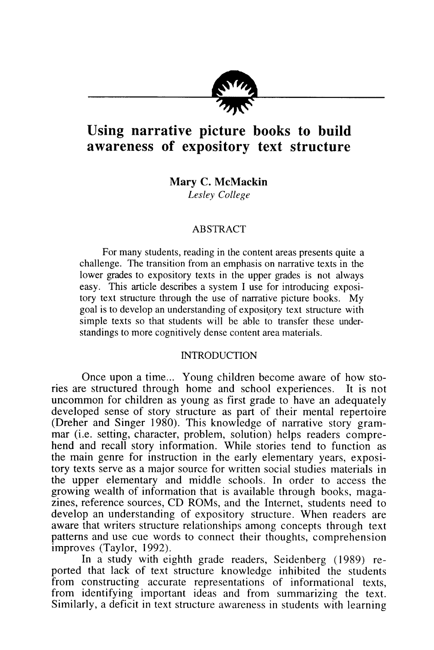

## *Using narrative picture books to build awareness of expository text structure*

*Mary C. McMackin* **Lesley College**

#### ABSTRACT

For many students, reading in the content areas presents quite a challenge. The transition from an emphasis on narrative texts in the lower grades to expository texts in the upper grades is not always easy. This article describes a system I use for introducing exposi tory text structure through the use of narrative picture books. My goal is to develop an understanding of expository text structure with simple texts so that students will be able to transfer these under standings to more cognitively dense content area materials.

#### **INTRODUCTION**

Once upon a time... Young children become aware of how sto ries are structured through home and school experiences. It is not uncommon for children as young as first grade to have an adequately developed sense of story structure as part of their mental repertoire (Dreher and Singer 1980). This knowledge of narrative story gram mar (i.e. setting, character, problem, solution) helps readers compre hend and recall story information. While stories tend to function as the main genre for instruction in the early elementary years, exposi tory texts serve as a major source for written social studies materials in the upper elementary and middle schools. In order to access the growing wealth of information that is available through books, maga zines, reference sources, CD ROMs, and the Internet, students need to develop an understanding of expository structure. When readers are aware that writers structure relationships among concepts through text patterns and use cue words to connect their thoughts, comprehension improves (Taylor, 1992).

In a study with eighth grade readers, Seidenberg (1989) re ported that lack of text structure knowledge inhibited the students from constructing accurate representations of informational texts, from identifying important ideas and from summarizing the text. Similarly, a deficit in text structure awareness in students with learning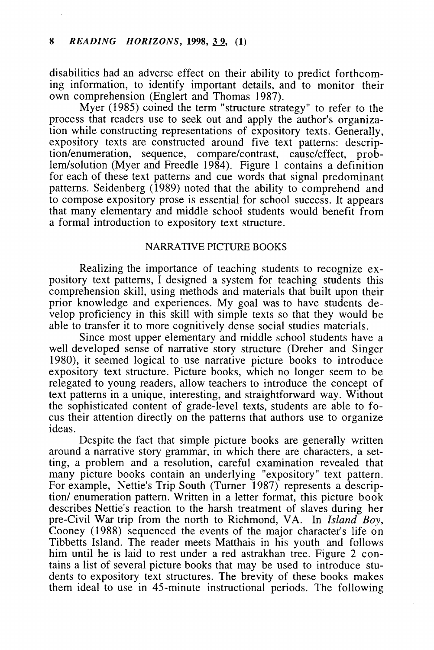disabilities had an adverse effect on their ability to predict forthcom ing information, to identify important details, and to monitor their own comprehension (Englert and Thomas 1987).

Myer (1985) coined the term "structure strategy" to refer to the process that readers use to seek out and apply the author's organiza tion while constructing representations of expository texts. Generally, expository texts are constructed around five text patterns: descrip tion/enumeration, sequence, compare/contrast, cause/effect, prob lem/solution (Myer and Freedle 1984). Figure 1 contains a definition for each of these text patterns and cue words that signal predominant patterns. Seidenberg (1989) noted that the ability to comprehend and to compose expository prose is essential for school success. It appears that many elementary and middle school students would benefit from a formal introduction to expository text structure.

#### NARRATIVE PICTURE BOOKS

Realizing the importance of teaching students to recognize ex pository text patterns, I designed a system for teaching students this comprehension skill, using methods and materials that built upon their prior knowledge and experiences. My goal was to have students de velop proficiency in this skill with simple texts so that they would be able to transfer it to more cognitively dense social studies materials.

Since most upper elementary and middle school students have a well developed sense of narrative story structure (Dreher and Singer 1980), it seemed logical to use narrative picture books to introduce expository text structure. Picture books, which no longer seem to be relegated to young readers, allow teachers to introduce the concept of text patterns in a unique, interesting, and straightforward way. Without the sophisticated content of grade-level texts, students are able to fo cus their attention directly on the patterns that authors use to organize ideas.

Despite the fact that simple picture books are generally written around a narrative story grammar, in which there are characters, a set ting, a problem and a resolution, careful examination revealed that many picture books contain an underlying "expository" text pattern. For example, Nettie's Trip South (Turner 1987) represents a descrip tion/ enumeration pattern. Written in a letter format, this picture book describes Nettie's reaction to the harsh treatment of slaves during her pre-Civil War trip from the north to Richmond, VA. In **Island Boy,** Cooney (1988) sequenced the events of the major character's life on Tibbetts Island. The reader meets Matthais in his youth and follows him until he is laid to rest under a red astrakhan tree. Figure 2 contains a list of several picture books that may be used to introduce stu dents to expository text structures. The brevity of these books makes them ideal to use in 45-minute instructional periods. The following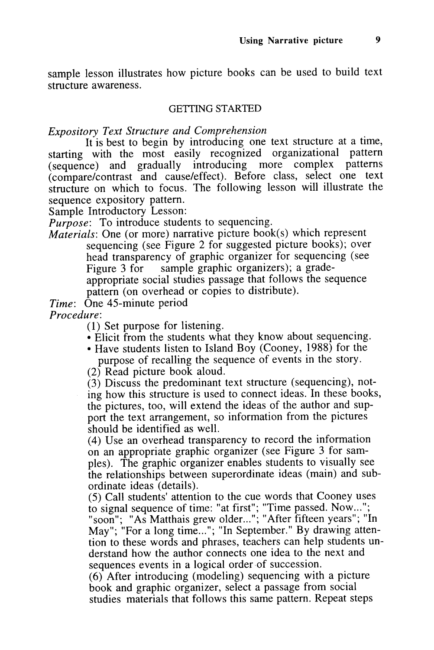sample lesson illustrates how picture books can be used to build text structure awareness.

#### GETTING STARTED

**Expository Text Structure and Comprehension**

It is best to begin by introducing one text structure at a time, starting with the most easily recognized organizational pattern (sequence) and gradually introducing more complex patterns (compare/contrast and cause/effect). Before class, select one text structure on which to focus. The following lesson will illustrate the sequence expository pattern.

Sample Introductory Lesson:

**Purpose:** To introduce students to sequencing.

**Materials:** One (or more) narrative picture book(s) which represent sequencing (see Figure 2 for suggested picture books); over head transparency of graphic organizer for sequencing (see Figure 3 for sample graphic organizers); a gradeappropriate social studies passage that follows the sequence pattern (on overhead or copies to distribute).

**Time:** One 45-minute period

**Procedure:**

(1) Set purpose for listening.

- Elicit from the students what they know about sequencing.
- Have students listen to Island Boy (Cooney, 1988) for the purpose of recalling the sequence of events in the story.

(2) Read picture book aloud.

(3) Discuss the predominant text structure (sequencing), not ing how this structure is used to connect ideas. In these books, the pictures, too, will extend the ideas of the author and sup port the text arrangement, so information from the pictures should be identified as well.

(4) Use an overhead transparency to record the information on an appropriate graphic organizer (see Figure 3 for sam ples). The graphic organizer enables students to visually see the relationships between superordinate ideas (main) and sub ordinate ideas (details).

(5) Call students' attention to the cue words that Cooney uses to signal sequence of time: "at first"; "Time passed. Now..."; "soon"; "As Matthais grew older..."; "After fifteen years"; "In May"; "For a long time..."; "In September." By drawing atten tion to these words and phrases, teachers can help students un derstand how the author connects one idea to the next and sequences events in a logical order of succession.

(6) After introducing (modeling) sequencing with a picture book and graphic organizer, select a passage from social studies materials that follows this same pattern. Repeat steps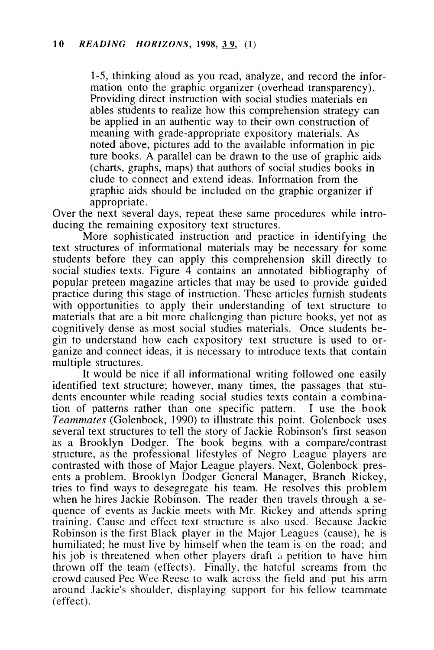1-5, thinking aloud as you read, analyze, and record the infor mation onto the graphic organizer (overhead transparency). Providing direct instruction with social studies materials en ables students to realize how this comprehension strategy can be applied in an authentic way to their own construction of meaning with grade-appropriate expository materials. As noted above, pictures add to the available information in pic ture books. A parallel can be drawn to the use of graphic aids (charts, graphs, maps) that authors of social studies books in elude to connect and extend ideas. Information from the graphic aids should be included on the graphic organizer if appropriate.

Over the next several days, repeat these same procedures while intro ducing the remaining expository text structures.

More sophisticated instruction and practice in identifying the text structures of informational materials may be necessary for some students before they can apply this comprehension skill directly to social studies texts. Figure 4 contains an annotated bibliography of popular preteen magazine articles that may be used to provide guided practice during this stage of instruction. These articles furnish students with opportunities to apply their understanding of text structure to materials that are a bit more challenging than picture books, yet not as cognitively dense as most social studies materials. Once students be gin to understand how each expository text structure is used to or ganize and connect ideas, it is necessary to introduce texts that contain multiple structures.

It would be nice if all informational writing followed one easily identified text structure; however, many times, the passages that stu dents encounter while reading social studies texts contain a combina tion of patterns rather than one specific pattern. I use the book **Teammates** (Golenbock, 1990) to illustrate this point. Golenbock uses several text structures to tell the story of Jackie Robinson's first season as a Brooklyn Dodger. The book begins with a compare/contrast structure, as the professional lifestyles of Negro League players are contrasted with those of Major League players. Next, Golenbock pres ents a problem. Brooklyn Dodger General Manager, Branch Rickey, tries to find ways to desegregate his team. He resolves this problem when he hires Jackie Robinson. The reader then travels through a se quence of events as Jackie meets with Mr. Rickey and attends spring training. Cause and effect text structure is also used. Because Jackie Robinson is the first Black player in the Major Leagues (cause), he is humiliated; he must live by himself when the team is on the road; and his job is threatened when other players draft a petition to have him thrown off the team (effects). Finally, the hateful screams from the crowd caused Pee Wee Reese to walk across the field and put his arm around Jackie's shoulder, displaying support for his fellow teammate (effect).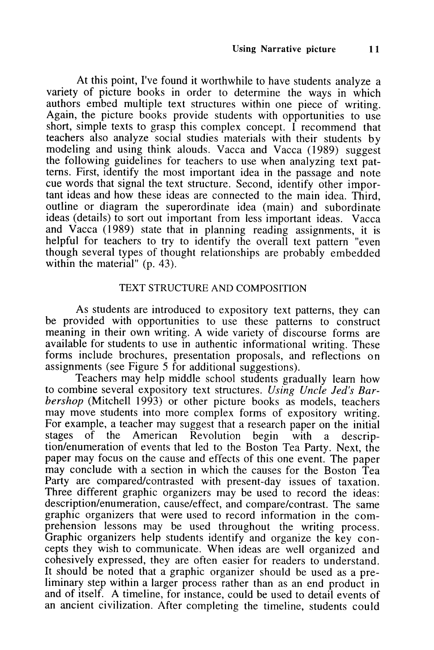At this point, I've found it worthwhile to have students analyze a variety of picture books in order to determine the ways in which authors embed multiple text structures within one piece of writing. Again, the picture books provide students with opportunities to use short, simple texts to grasp this complex concept. I recommend that teachers also analyze social studies materials with their students by modeling and using think alouds. Vacca and Vacca (1989) suggest the following guidelines for teachers to use when analyzing text pat terns. First, identify the most important idea in the passage and note cue words that signal the text structure. Second, identify other impor tant ideas and how these ideas are connected to the main idea. Third, outline or diagram the superordinate idea (main) and subordinate ideas (details) to sort out important from less important ideas. Vacca and Vacca (1989) state that in planning reading assignments, it is helpful for teachers to try to identify the overall text pattern "even though several types of thought relationships are probably embedded within the material" (p. 43).

#### TEXT STRUCTURE AND COMPOSITION

As students are introduced to expository text patterns, they can be provided with opportunities to use these patterns to construct meaning in their own writing. A wide variety of discourse forms are available for students to use in authentic informational writing. These forms include brochures, presentation proposals, and reflections on assignments (see Figure 5 for additional suggestions).

Teachers may help middle school students gradually learn how to combine several expository text structures. **Using Uncle Jed's Bar** bershop (Mitchell 1993) or other picture books as models, teachers may move students into more complex forms of expository writing. For example, a teacher may suggest that a research paper on the initial stages of the American Revolution begin with a descrip-American Revolution begin with a description/enumeration of events that led to the Boston Tea Party. Next, the paper may focus on the cause and effects of this one event. The paper may conclude with a section in which the causes for the Boston Tea Party are compared/contrasted with present-day issues of taxation. Three different graphic organizers may be used to record the ideas: description/enumeration, cause/effect, and compare/contrast. The same graphic organizers that were used to record information in the com prehension lessons may be used throughout the writing process. Graphic organizers help students identify and organize the key concepts they wish to communicate. When ideas are well organized and cohesively expressed, they are often easier for readers to understand. It should be noted that a graphic organizer should be used as a pre liminary step within a larger process rather than as an end product in and of itself. A timeline, for instance, could be used to detail events of an ancient civilization. After completing the timeline, students could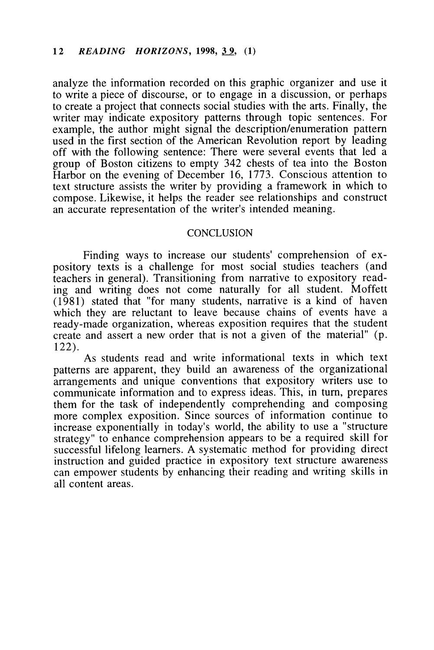analyze the information recorded on this graphic organizer and use it to write a piece of discourse, or to engage in a discussion, or perhaps to create a project that connects social studies with the arts. Finally, the writer may indicate expository patterns through topic sentences. For example, the author might signal the description/enumeration pattern used in the first section of the American Revolution report by leading off with the following sentence: There were several events that led a group of Boston citizens to empty 342 chests of tea into the Boston Harbor on the evening of December 16, 1773. Conscious attention to text structure assists the writer by providing a framework in which to compose. Likewise, it helps the reader see relationships and construct an accurate representation of the writer's intended meaning.

#### **CONCLUSION**

Finding ways to increase our students' comprehension of ex pository texts is a challenge for most social studies teachers (and teachers in general). Transitioning from narrative to expository read ing and writing does not come naturally for all student. Moffett (1981) stated that "for many students, narrative is a kind of haven which they are reluctant to leave because chains of events have a ready-made organization, whereas exposition requires that the student create and assert a new order that is not a given of the material" (p. 122).

As students read and write informational texts in which text patterns are apparent, they build an awareness of the organizational arrangements and unique conventions that expository writers use to communicate information and to express ideas. This, in turn, prepares them for the task of independently comprehending and composing more complex exposition. Since sources of information continue to increase exponentially in today's world, the ability to use a "structure strategy" to enhance comprehension appears to be a required skill for successful lifelong learners. A systematic method for providing direct instruction and guided practice in expository text structure awareness can empower students by enhancing their reading and writing skills in all content areas.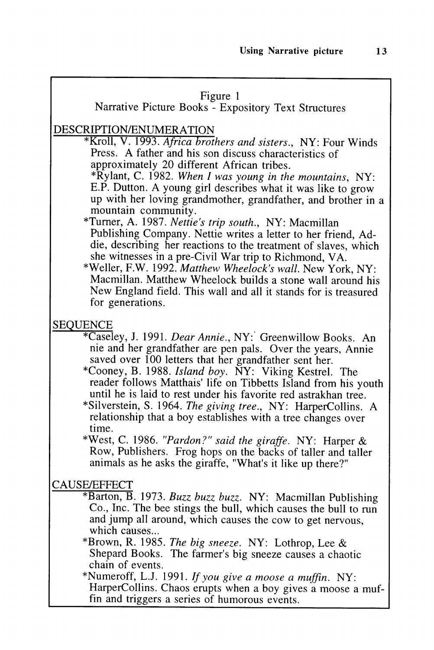#### Figure 1

## Narrative Picture Books - Expository Text Structures

#### DESCRIPTION/ENUMERATION

\*Kroll, V. 1993. **Africa brothers and sisters.,** NY: Four Winds Press. A father and his son discuss characteristics of approximately 20 different African tribes.

\*Rylant, C. 1982. **When I was young in the mountains,** NY: E.P. Dutton. A young girl describes what it was like to grow up with her loving grandmother, grandfather, and brother in a mountain community.

- \*Turner, A. 1987. **Nettie's trip south.,** NY: Macmillan Publishing Company. Nettie writes a letter to her friend, Addie, describing her reactions to the treatment of slaves, which she witnesses in a pre-Civil War trip to Richmond, VA.
- \*Weller, F.W. 1992. **Matthew Wheelock's wall.** New York, NY: Macmillan. Matthew Wheelock builds a stone wall around his New England field. This wall and all it stands for is treasured for generations.

#### SEQUENCE

- \*Caseley, J. 1991. **Dear Annie.,** NY: Greenwillow Books. An nie and her grandfather are pen pals. Over the years, Annie saved over 100 letters that her grandfather sent her.
- \*Cooney, B. 1988. **Island boy.** NY: Viking Kestrel. The reader follows Matthais' life on Tibbetts Island from his youth until he is laid to rest under his favorite red astrakhan tree.
- \*Silverstein, S. 1964. **The giving tree.,** NY: HarperCollins. A relationship that a boy establishes with a tree changes over time.

\*West, C. 1986. **"Pardon?" said the giraffe.** NY: Harper & Row, Publishers. Frog hops on the backs of taller and taller animals as he asks the giraffe, "What's it like up there?"

#### CAUSE/EFFECT

\*Barton, B. 1973. **Buzz buzz buzz.** NY: Macmillan Publishing Co., Inc. The bee stings the bull, which causes the bull to run and jump all around, which causes the cow to get nervous, which causes...

\*Brown, R. 1985. **The big sneeze.** NY: Lothrop, Lee & Shepard Books. The farmer's big sneeze causes a chaotic chain of events.

\*Numeroff, L.J. 1991. **If you give a moose a muffin.** NY: HarperCollins. Chaos erupts when a boy gives a moose a muffin and triggers a series of humorous events.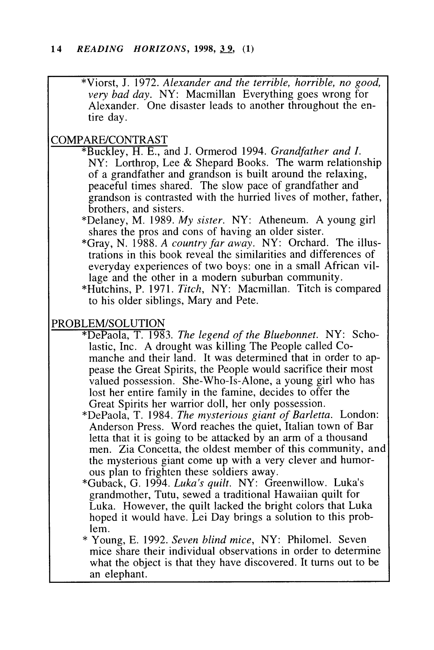\*Viorst, J. 1972. **Alexander and the terrible, horrible, no good, very bad day.** NY: Macmillan Everything goes wrong for Alexander. One disaster leads to another throughout the en tire day.

#### COMPARE/CONTRAST

- \*Buckley, H. E., and J. Ormerod 1994. **Grandfather and I.** NY: Lorthrop, Lee & Shepard Books. The warm relationship of a grandfather and grandson is built around the relaxing, peaceful times shared. The slow pace of grandfather and grandson is contrasted with the hurried lives of mother, father, brothers, and sisters.
- \*Delaney, M. 1989. **My sister.** NY: Atheneum. A young girl shares the pros and cons of having an older sister.
- \*Gray, N. 1988. **A country far away.** NY: Orchard. The illus trations in this book reveal the similarities and differences of everyday experiences of two boys: one in a small African vil lage and the other in a modern suburban community.
- \*Hutchins, P. 1971. **Titch,** NY: Macmillan. Titch is compared to his older siblings, Mary and Pete.

#### PROBLEM/SOLUTION

- \*DePaola, T. 1983. **The legend of the Bluebonnet.** NY: Scho lastic, Inc. A drought was killing The People called Co manche and their land. It was determined that in order to appease the Great Spirits, the People would sacrifice their most valued possession. She-Who-Is-Alone, a young girl who has lost her entire family in the famine, decides to offer the Great Spirits her warrior doll, her only possession.
- \*DePaola, T. 1984. **The mysterious giant of Barietta.** London: Anderson Press. Word reaches the quiet, Italian town of Bar letta that it is going to be attacked by an arm of a thousand men. Zia Concetta, the oldest member of this community, and the mysterious giant come up with a very clever and humor ous plan to frighten these soldiers away.
- \*Guback, G. 1994. **Luka's quilt.** NY: Greenwillow. Luka's grandmother, Tutu, sewed a traditional Hawaiian quilt for Luka. However, the quilt lacked the bright colors that Luka hoped it would have. Lei Day brings a solution to this prob lem.
- \* Young, E. 1992. **Seven blind mice,** NY: Philomel. Seven mice share their individual observations in order to determine what the object is that they have discovered. It turns out to be an elephant.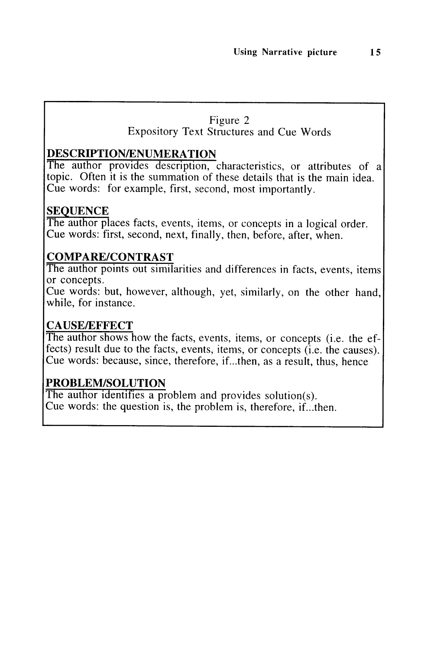#### Figure 2

Expository Text Structures and Cue Words

### *DESCRIPTION/ENUMERATION*

The author provides description, characteristics, or attributes of a topic. Often it is the summation of these details that is the main idea. Cue words: for example, first, second, most importantly.

### *SEQUENCE*

The author places facts, events, items, or concepts in a logical order. Cue words: first, second, next, finally, then, before, after, when.

### *COMPARE/CONTRAST*

The author points out similarities and differences in facts, events, items or concepts.

Cue words: but, however, although, yet, similarly, on the other hand, while, for instance.

## *CAUSE/EFFECT*

The author shows how the facts, events, items, or concepts (i.e. the ef fects) result due to the facts, events, items, or concepts (i.e. the causes). Cue words: because, since, therefore, if...then, as a result, thus, hence

### *PROBLEM/SOLUTION*

The author identifies a problem and provides solution(s). Cue words: the question is, the problem is, therefore, if...then.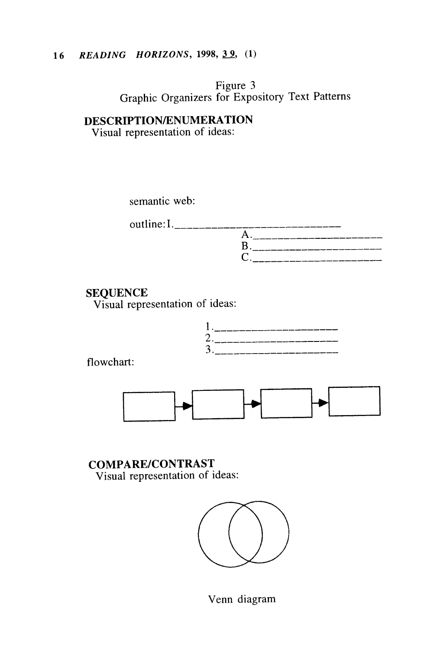## *16 READING HORIZONS, 1998, 39, (1)*

Figure 3 Graphic Organizers for Expository Text Patterns

*DESCRIPTION/ENUMERATION* Visual representation of ideas:

| semantic web: |  |
|---------------|--|
| outline: I.   |  |
|               |  |
|               |  |
|               |  |

#### *SEQUENCE*

Visual representation of ideas:



flowchart:



*COMPARE/CONTRAST* Visual representation of ideas:



Venn diagram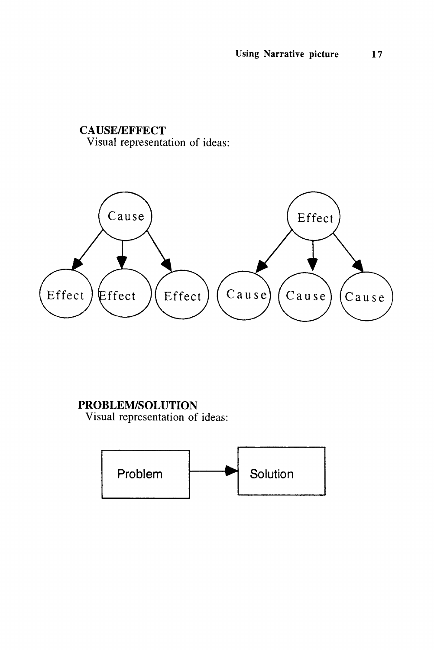#### CAUSE/EFFECT Visual representation of ideas:



## PROBLEM/SOLUTION

Visual representation of ideas:

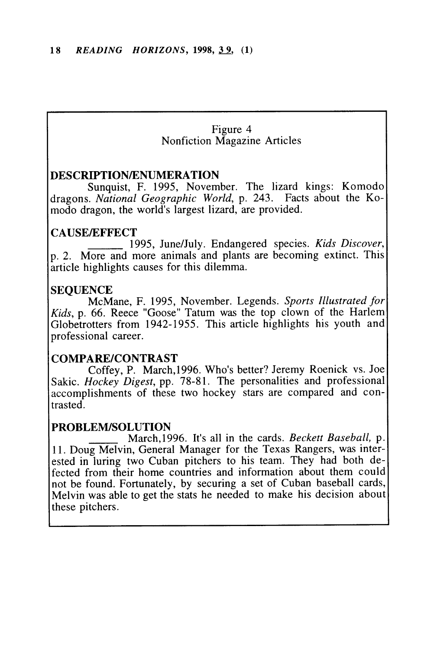#### Figure 4 Nonfiction Magazine Articles

#### *DESCRIPTION/ENUMERATION*

Sunquist, F. 1995, November. The lizard kings: Komodo dragons. **National Geographic World,** p. 243. Facts about the Ko modo dragon, the world's largest lizard, are provided.

#### *CAUSE/EFFECT*

1995, June/July. Endangered species. **Kids Discover,** p. 2. More and more animals and plants are becoming extinct. This article highlights causes for this dilemma.

#### *SEQUENCE*

McMane, F. 1995, November. Legends. **Sports Illustrated for Kids,** p. 66. Reece "Goose" Tatum was the top clown of the Harlem Globetrotters from 1942-1955. This article highlights his youth and professional career.

#### *COMPARE/CONTRAST*

Coffey, P. March,1996. Who's better? Jeremy Roenick vs. Joe Sakic. **Hockey Digest,** pp. 78-81. The personalities and professional accomplishments of these two hockey stars are compared and con trasted.

#### *PROBLEM/SOLUTION*

March, 1996. It's all in the cards. **Beckett Baseball,** p. 11. Doug Melvin, General Manager for the Texas Rangers, was inter ested in luring two Cuban pitchers to his team. They had both de fected from their home countries and information about them could not be found. Fortunately, by securing a set of Cuban baseball cards, Melvin was able to get the stats he needed to make his decision about these pitchers.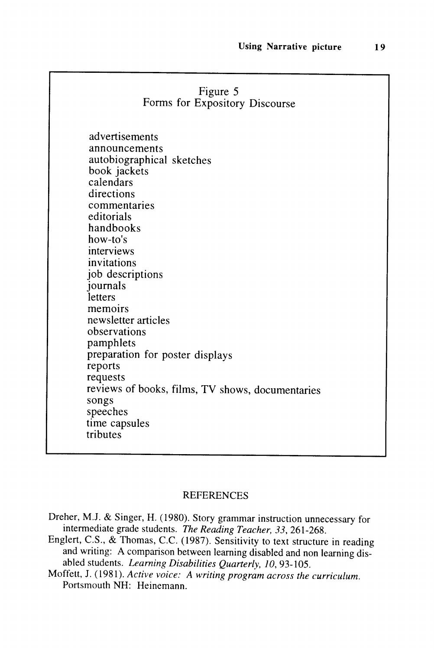|                                                                                                                                                                                                                                                                                                                                                                                                                                                 | Figure 5<br>Forms for Expository Discourse |  |
|-------------------------------------------------------------------------------------------------------------------------------------------------------------------------------------------------------------------------------------------------------------------------------------------------------------------------------------------------------------------------------------------------------------------------------------------------|--------------------------------------------|--|
| advertisements<br>announcements<br>autobiographical sketches<br>book jackets<br>calendars<br>directions<br>commentaries<br>editorials<br>handbooks<br>how-to's<br>interviews<br>invitations<br>job descriptions<br>journals<br><i>letters</i><br>memoirs<br>newsletter articles<br>observations<br>pamphlets<br>preparation for poster displays<br>reports<br>requests<br>reviews of books, films, TV shows, documentaries<br>songs<br>speeches |                                            |  |
| time capsules<br>tributes                                                                                                                                                                                                                                                                                                                                                                                                                       |                                            |  |

#### REFERENCES

- Dreher, M.J. & Singer, H. (1980). Story grammar instruction unnecessary for intermediate grade students. **The Reading Teacher, 33,** 261-268.
- Englert, C.S., & Thomas, C.C. (1987). Sensitivity to text structure in reading and writing: A comparison between learning disabled and non learning disabled students. *Learning Disabilities Quarterly, 10, 93-105.*
- Moffett, J. (1981). **Active voice: A writing program across the curriculum.** Portsmouth NH: Heinemann.